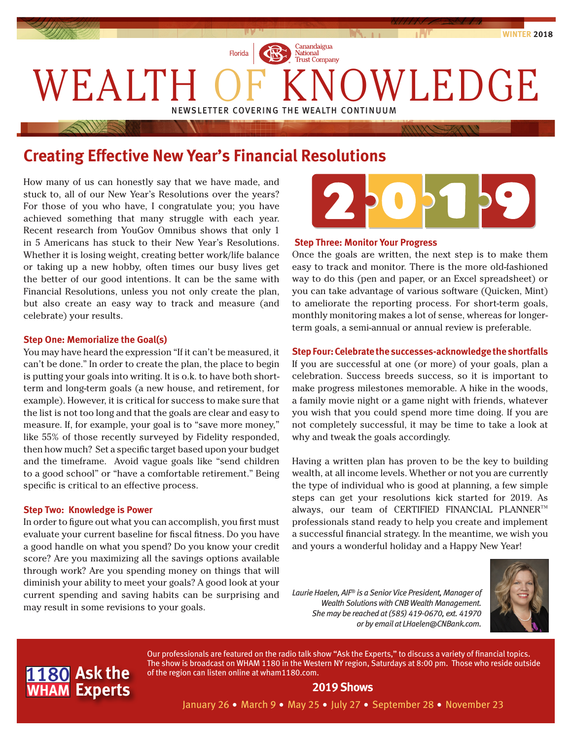

# **Creating Effective New Year's Financial Resolutions**

How many of us can honestly say that we have made, and stuck to, all of our New Year's Resolutions over the years? For those of you who have, I congratulate you; you have achieved something that many struggle with each year. Recent research from YouGov Omnibus shows that only 1 in 5 Americans has stuck to their New Year's Resolutions. Whether it is losing weight, creating better work/life balance or taking up a new hobby, often times our busy lives get the better of our good intentions. It can be the same with Financial Resolutions, unless you not only create the plan, but also create an easy way to track and measure (and celebrate) your results.

#### **Step One: Memorialize the Goal(s)**

You may have heard the expression "If it can't be measured, it can't be done." In order to create the plan, the place to begin is putting your goals into writing. It is o.k. to have both shortterm and long-term goals (a new house, and retirement, for example). However, it is critical for success to make sure that the list is not too long and that the goals are clear and easy to measure. If, for example, your goal is to "save more money," like 55% of those recently surveyed by Fidelity responded, then how much? Set a specific target based upon your budget and the timeframe. Avoid vague goals like "send children to a good school" or "have a comfortable retirement." Being specific is critical to an effective process.

#### **Step Two: Knowledge is Power**

In order to figure out what you can accomplish, you first must evaluate your current baseline for fiscal fitness. Do you have a good handle on what you spend? Do you know your credit score? Are you maximizing all the savings options available through work? Are you spending money on things that will diminish your ability to meet your goals? A good look at your current spending and saving habits can be surprising and may result in some revisions to your goals.



# **Step Three: Monitor Your Progress**

Once the goals are written, the next step is to make them easy to track and monitor. There is the more old-fashioned way to do this (pen and paper, or an Excel spreadsheet) or you can take advantage of various software (Quicken, Mint) to ameliorate the reporting process. For short-term goals, monthly monitoring makes a lot of sense, whereas for longerterm goals, a semi-annual or annual review is preferable.

#### **Step Four: Celebrate the successes-acknowledge the shortfalls**

If you are successful at one (or more) of your goals, plan a celebration. Success breeds success, so it is important to make progress milestones memorable. A hike in the woods, a family movie night or a game night with friends, whatever you wish that you could spend more time doing. If you are not completely successful, it may be time to take a look at why and tweak the goals accordingly.

Having a written plan has proven to be the key to building wealth, at all income levels. Whether or not you are currently the type of individual who is good at planning, a few simple steps can get your resolutions kick started for 2019. As always, our team of CERTIFIED FINANCIAL PLANNER™ professionals stand ready to help you create and implement a successful financial strategy. In the meantime, we wish you and yours a wonderful holiday and a Happy New Year!

*Laurie Haelen, AIF® is a Senior Vice President, Manager of Wealth Solutions with CNB Wealth Management. She may be reached at (585) 419-0670, ext. 41970 or by email at LHaelen@CNBank.com.*





Our professionals are featured on the radio talk show "Ask the Experts," to discuss a variety of financial topics. The show is broadcast on WHAM 1180 in the Western NY region, Saturdays at 8:00 pm. Those who reside outside of the region can listen online at wham1180.com.

# **2019 Shows**

January 26 • March 9 • May 25 • July 27 • September 28 • November 23